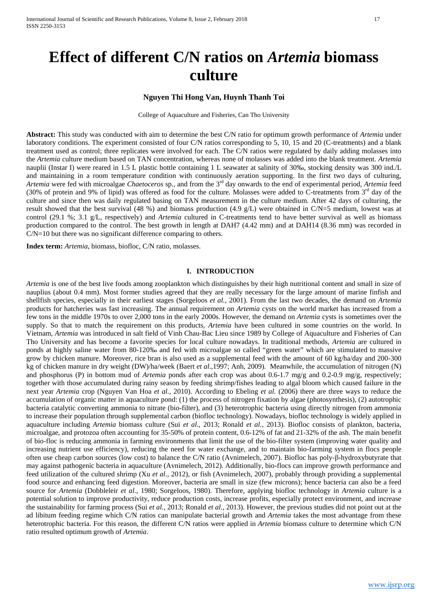# **Effect of different C/N ratios on** *Artemia* **biomass culture**

# **Nguyen Thi Hong Van, Huynh Thanh Toi**

College of Aquaculture and Fisheries, Can Tho University

**Abstract:** This study was conducted with aim to determine the best C/N ratio for optimum growth performance of *Artemia* under laboratory conditions. The experiment consisted of four C/N ratios corresponding to 5, 10, 15 and 20 (C-treatments) and a blank treatment used as control; three replicates were involved for each. The C/N ratios were regulated by daily adding molasses into the *Artemia* culture medium based on TAN concentration, whereas none of molasses was added into the blank treatment. *Artemia* nauplii (Instar I) were reared in 1.5 L plastic bottle containing 1 L seawater at salinity of 30‰, stocking density was 300 ind./L and maintaining in a room temperature condition with continuously aeration supporting. In the first two days of culturing, *Artemia* were fed with microalgae *Chaetoceros* sp., and from the 3rd day onwards to the end of experimental period, *Artemia* feed (30% of protein and 9% of lipid) was offered as food for the culture. Molasses were added to C-treatments from 3<sup>rd</sup> day of the culture and since then was daily regulated basing on TAN measurement in the culture medium. After 42 days of culturing, the result showed that the best survival (48 %) and biomass production (4.9 g/L) were obtained in C/N=5 medium, lowest was at control (29.1 %; 3.1 g/L, respectively) and *Artemia* cultured in C-treatments tend to have better survival as well as biomass production compared to the control. The best growth in length at DAH7 (4.42 mm) and at DAH14 (8.36 mm) was recorded in C/N=10 but there was no significant difference comparing to others.

**Index term:** *Artemia*, biomass, biofloc, C/N ratio, molasses.

## **I. INTRODUCTION**

*Artemia* is one of the best live foods among zooplankton which distinguishes by their high nutritional content and small in size of nauplius (about 0.4 mm). Most former studies agreed that they are really necessary for the large amount of marine finfish and shellfish species, especially in their earliest stages (Sorgeloos *et al.,* 2001). From the last two decades, the demand on *Artemia* products for hatcheries was fast increasing. The annual requirement on *Artemia* cysts on the world market has increased from a few tons in the middle 1970s to over 2,000 tons in the early 2000s. However, the demand on *Artemia* cysts is sometimes over the supply. So that to match the requirement on this products, *Artemia* have been cultured in some countries on the world. In Vietnam, *Artemia* was introduced in salt field of Vinh Chau-Bac Lieu since 1989 by College of Aquaculture and Fisheries of Can Tho University and has become a favorite species for local culture nowadays. In traditional methods, *Artemia* are cultured in ponds at highly saline water from 80-120‰ and fed with microalgae so called "green water" which are stimulated to massive grow by chicken manure. Moreover, rice bran is also used as a supplemental feed with the amount of 60 kg/ha/day and 200-300 kg of chicken manure in dry weight (DW)/ha/week (Baert *et al.,*1997; Anh, 2009). Meanwhile, the accumulation of nitrogen (N) and phosphorus (P) in bottom mud of *Artemia* ponds after each crop was about 0.6-1.7 mg/g and 0.2-0.9 mg/g, respectively; together with those accumulated during rainy season by feeding shrimp/fishes leading to algal bloom which caused failure in the next year *Artemia* crop (Nguyen Van Hoa *et al.,* 2010). According to Ebeling *et al.* (2006) there are three ways to reduce the accumulation of organic matter in aquaculture pond: (1) the process of nitrogen fixation by algae (photosynthesis), (2) autotrophic bacteria catalytic converting ammonia to nitrate (bio-filter), and (3) heterotrophic bacteria using directly nitrogen from ammonia to increase their population through supplemental carbon (biofloc technology). Nowadays, biofloc technology is widely applied in aquaculture including *Artemia* biomass culture (Sui *et al.,* 2013; Ronald *et al.,* 2013). Biofloc consists of plankton, bacteria, microalgae, and protozoa often accounting for 35-50% of protein content, 0.6-12% of fat and 21-32% of the ash. The main benefit of bio-floc is reducing ammonia in farming environments that limit the use of the bio-filter system (improving water quality and increasing nutrient use efficiency), reducing the need for water exchange, and to maintain bio-farming system in flocs people often use cheap carbon sources (low cost) to balance the C/N ratio (Avnimelech, 2007). Biofloc has poly-β-hydroxybutyrate that may against pathogenic bacteria in aquaculture (Avnimelech, 2012). Additionally, bio-flocs can improve growth performance and feed utilization of the cultured shrimp (Xu *et al.,* 2012), or fish (Avnimelech, 2007), probably through providing a supplemental food source and enhancing feed digestion. Moreover, bacteria are small in size (few microns); hence bacteria can also be a feed source for *Artemia* (Dobbleleir *et al.,* 1980; Sorgeloos, 1980). Therefore, applying biofloc technology in *Artemia* culture is a potential solution to improve productivity, reduce production costs, increase profits, especially protect environment, and increase the sustainability for farming process (Sui *et al.,* 2013; Ronald *et al.,* 2013). However, the previous studies did not point out at the ad libitum feeding regime which C/N ratios can manipulate bacterial growth and *Artemia* takes the most advantage from these heterotrophic bacteria. For this reason, the different C/N ratios were applied in *Artemia* biomass culture to determine which C/N ratio resulted optimum growth of *Artemia*.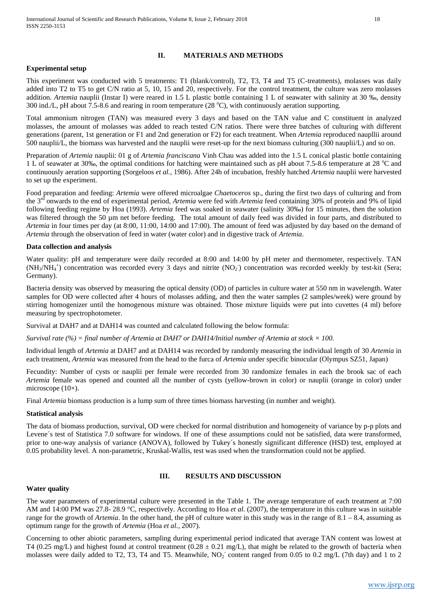## **II. MATERIALS AND METHODS**

### **Experimental setup**

This experiment was conducted with 5 treatments: T1 (blank/control), T2, T3, T4 and T5 (C-treatments), molasses was daily added into T2 to T5 to get C/N ratio at 5, 10, 15 and 20, respectively. For the control treatment, the culture was zero molasses addition. *Artemia* nauplii (Instar I) were reared in 1.5 L plastic bottle containing 1 L of seawater with salinity at 30 ‰, density 300 ind./L, pH about  $7.5$ -8.6 and rearing in room temperature (28 °C), with continuously aeration supporting.

Total ammonium nitrogen (TAN) was measured every 3 days and based on the TAN value and C constituent in analyzed molasses, the amount of molasses was added to reach tested C/N ratios. There were three batches of culturing with different generations (parent, 1st generation or F1 and 2nd generation or F2) for each treatment. When *Artemia* reproduced naupllii around 500 nauplii/L, the biomass was harvested and the nauplii were reset-up for the next biomass culturing (300 nauplii/L) and so on.

Preparation of *Artemia* nauplii: 01 g of *Artemia franciscana* Vinh Chau was added into the 1.5 L conical plastic bottle containing 1 L of seawater at 30‰, the optimal conditions for hatching were maintained such as pH about 7.5-8.6 temperature at 28 °C and continuously aeration supporting (Sorgeloos *et al.,* 1986). After 24h of incubation, freshly hatched *Artemia* nauplii were harvested to set up the experiment.

Food preparation and feeding: *Artemia* were offered microalgae *Chaetoceros* sp., during the first two days of culturing and from the 3rd onwards to the end of experimental period, *Artemia* were fed with *Artemia* feed containing 30% of protein and 9% of lipid following feeding regime by Hoa (1993). *Artemia* feed was soaked in seawater (salinity 30‰) for 15 minutes, then the solution was filtered through the 50 um net before feeding. The total amount of daily feed was divided in four parts, and distributed to *Artemia* in four times per day (at 8:00, 11:00, 14:00 and 17:00). The amount of feed was adjusted by day based on the demand of *Artemia* through the observation of feed in water (water color) and in digestive track of *Artemia*.

#### **Data collection and analysis**

Water quality: pH and temperature were daily recorded at 8:00 and 14:00 by pH meter and thermometer, respectively. TAN  $(NH_3/NH_4^+)$  concentration was recorded every 3 days and nitrite  $(NO_2)$  concentration was recorded weekly by test-kit (Sera; Germany).

Bacteria density was observed by measuring the optical density (OD) of particles in culture water at 550 nm in wavelength. Water samples for OD were collected after 4 hours of molasses adding, and then the water samples (2 samples/week) were ground by stirring homogenizer until the homogenous mixture was obtained. Those mixture liquids were put into cuvettes (4 ml) before measuring by spectrophotometer.

Survival at DAH7 and at DAH14 was counted and calculated following the below formula:

*Survival rate (%) = final number of Artemia at DAH7 or DAH14/Initial number of Artemia at stock × 100.*

Individual length of *Artemia* at DAH7 and at DAH14 was recorded by randomly measuring the individual length of 30 *Artemia* in each treatment, *Artemia* was measured from the head to the furca of *Artemia* under specific binocular (Olympus SZ51, Japan)

Fecundity: Number of cysts or nauplii per female were recorded from 30 randomize females in each the brook sac of each *Artemia* female was opened and counted all the number of cysts (yellow-brown in color) or nauplii (orange in color) under microscope (10×).

Final *Artemia* biomass production is a lump sum of three times biomass harvesting (in number and weight).

## **Statistical analysis**

The data of biomass production, survival, OD were checked for normal distribution and homogeneity of variance by p-p plots and Levene´s test of Statistica 7.0 software for windows. If one of these assumptions could not be satisfied, data were transformed, prior to one-way analysis of variance (ANOVA), followed by Tukey´s honestly significant difference (HSD) test, employed at 0.05 probability level. A non-parametric, Kruskal-Wallis, test was used when the transformation could not be applied.

## **III. RESULTS AND DISCUSSION**

#### **Water quality**

The water parameters of experimental culture were presented in the Table 1. The average temperature of each treatment at 7:00 AM and 14:00 PM was 27.8- 28.9 °C, respectively. According to Hoa *et al*. (2007), the temperature in this culture was in suitable range for the growth of *Artemia*. In the other hand, the pH of culture water in this study was in the range of 8.1 – 8.4, assuming as optimum range for the growth of *Artemia* (Hoa *et al.,* 2007).

Concerning to other abiotic parameters, sampling during experimental period indicated that average TAN content was lowest at T4 (0.25 mg/L) and highest found at control treatment (0.28  $\pm$  0.21 mg/L), that might be related to the growth of bacteria when molasses were daily added to T2, T3, T4 and T5. Meanwhile, NO<sub>2</sub> content ranged from 0.05 to 0.2 mg/L (7th day) and 1 to 2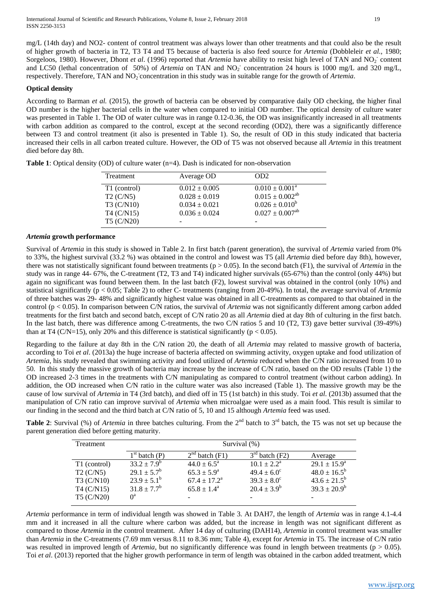mg/L (14th day) and NO2- content of control treatment was always lower than other treatments and that could also be the result of higher growth of bacteria in T2, T3 T4 and T5 because of bacteria is also feed source for *Artemia* (Dobbleleir *et al.,* 1980; Sorgeloos, 1980). However, Dhont *et al.* (1996) reported that *Artemia* have ability to resist high level of TAN and NO<sub>2</sub> content and LC50 (lethal concentration of 50%) of *Artemia* on TAN and NO<sub>2</sub> concentration 24 hours is 1000 mg/L and 320 mg/L, respectively. Therefore, TAN and NO<sub>2</sub> concentration in this study was in suitable range for the growth of *Artemia*.

## **Optical density**

According to Barman *et al.* (2015), the growth of bacteria can be observed by comparative daily OD checking, the higher final OD number is the higher bacterial cells in the water when compared to initial OD number. The optical density of culture water was presented in Table 1. The OD of water culture was in range 0.12-0.36, the OD was insignificantly increased in all treatments with carbon addition as compared to the control, except at the second recording (OD2), there was a significantly difference between T3 and control treatment (it also is presented in Table 1). So, the result of OD in this study indicated that bacteria increased their cells in all carbon treated culture. However, the OD of T5 was not observed because all *Artemia* in this treatment died before day 8th.

| Treatment    | Average OD        | OD <sub>2</sub>              |
|--------------|-------------------|------------------------------|
| T1 (control) | $0.012 \pm 0.005$ | $0.010 \pm 0.001^{\text{a}}$ |
| T2 (C/N5)    | $0.028 \pm 0.019$ | $0.015 \pm 0.002^{ab}$       |
| T3 (C/N10)   | $0.034 \pm 0.021$ | $0.026 \pm 0.010^b$          |
| T4 (C/N15)   | $0.036 \pm 0.024$ | $0.027 \pm 0.007^{ab}$       |
| T5 (C/N20)   |                   |                              |

**Table 1**: Optical density (OD) of culture water (n=4). Dash is indicated for non-observation

## *Artemia* **growth performance**

Survival of *Artemia* in this study is showed in Table 2. In first batch (parent generation), the survival of *Artemia* varied from 0% to 33%, the highest survival (33.2 %) was obtained in the control and lowest was T5 (all *Artemia* died before day 8th), however, there was not statistically significant found between treatments ( $p > 0.05$ ). In the second batch (F1), the survival of *Artemia* in the study was in range 44- 67%, the C-treatment (T2, T3 and T4) indicated higher survivals (65-67%) than the control (only 44%) but again no significant was found between them. In the last batch (F2), lowest survival was obtained in the control (only 10%) and statistical significantly (p < 0.05; Table 2) to other C- treatments (ranging from 20-49%). In total, the average survival of *Artemia* of three batches was 29- 48% and significantly highest value was obtained in all C-treatments as compared to that obtained in the control (p < 0.05). In comparison between C/N ratios, the survival of *Artemia* was not significantly different among carbon added treatments for the first batch and second batch, except of C/N ratio 20 as all *Artemia* died at day 8th of culturing in the first batch. In the last batch, there was difference among C-treatments, the two C/N ratios 5 and 10 (T2, T3) gave better survival (39-49%) than at T4 (C/N=15), only 20% and this difference is statistical significantly ( $p < 0.05$ ).

Regarding to the failure at day 8th in the C/N ration 20, the death of all *Artemia* may related to massive growth of bacteria, according to Toi *et al*. (2013a) the huge increase of bacteria affected on swimming activity, oxygen uptake and food utilization of *Artemia*, his study revealed that swimming activity and food utilized of *Artemia* reduced when the C/N ratio increased from 10 to 50. In this study the massive growth of bacteria may increase by the increase of C/N ratio, based on the OD results (Table 1) the OD increased 2-3 times in the treatments with C/N manipulating as compared to control treatment (without carbon adding). In addition, the OD increased when C/N ratio in the culture water was also increased (Table 1). The massive growth may be the cause of low survival of *Artemia* in T4 (3rd batch), and died off in T5 (1st batch) in this study. Toi *et al*. (2013b) assumed that the manipulation of C/N ratio can improve survival of *Artemia* when microalgae were used as a main food. This result is similar to our finding in the second and the third batch at C/N ratio of 5, 10 and 15 although *Artemia* feed was used.

**Table 2:** Survival (%) of *Artemia* in three batches culturing. From the 2<sup>nd</sup> batch to 3<sup>rd</sup> batch, the T5 was not set up because the parent generation died before getting maturity.

| Treatment    | Survival (%)           |                            |                        |                         |  |
|--------------|------------------------|----------------------------|------------------------|-------------------------|--|
|              | $1st$ batch (P)        | $2nd$ batch (F1)           | $3rd$ batch (F2)       | Average                 |  |
| T1 (control) | $33.2 \pm 7.9^b$       | $44.0 \pm 6.5^{\circ}$     | $10.1 + 2.2^a$         | $29.1 \pm 15.9^{\circ}$ |  |
| T2 (C/N5)    | $29.1 \pm 5.7^b$       | $65.3 \pm 5.9^{\rm a}$     | $49.4 \pm 6.0^{\circ}$ | $48.0 \pm 16.5^b$       |  |
| T3 (C/N10)   | $23.9 \pm 5.1^{\rm b}$ | $67.4 \pm 17.2^{\text{a}}$ | $39.3 \pm 8.0^{\circ}$ | $43.6 \pm 21.5^{\rm b}$ |  |
| T4 (C/N15)   | $31.8 \pm 7.7^b$       | $65.8 \pm 1.4^{\circ}$     | $20.4 \pm 3.9^b$       | $39.3 \pm 20.9^b$       |  |
| T5 (C/N20)   | $\theta^a$             |                            |                        |                         |  |

*Artemia* performance in term of individual length was showed in Table 3. At DAH7, the length of *Artemia* was in range 4.1-4.4 mm and it increased in all the culture where carbon was added, but the increase in length was not significant different as compared to those *Artemia* in the control treatment. After 14 day of culturing (DAH14), *Artemia* in control treatment was smaller than *Artemia* in the C-treatments (7.69 mm versus 8.11 to 8.36 mm; Table 4), except for *Artemia* in T5. The increase of C/N ratio was resulted in improved length of *Artemia*, but no significantly difference was found in length between treatments ( $p > 0.05$ ). Toi *et al*. (2013) reported that the higher growth performance in term of length was obtained in the carbon added treatment, which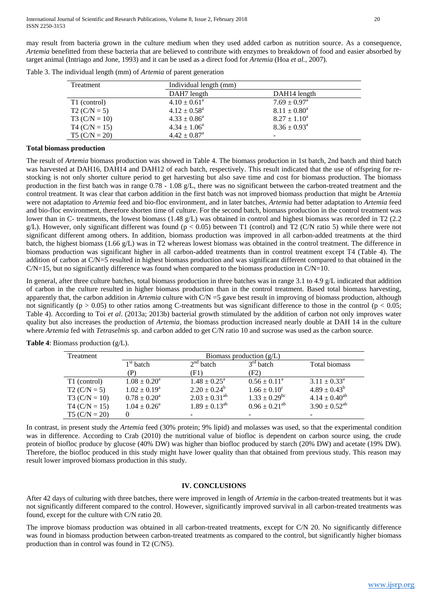may result from bacteria grown in the culture medium when they used added carbon as nutrition source. As a consequence, *Artemia* benefitted from these bacteria that are believed to contribute with enzymes to breakdown of food and easier absorbed by target animal (Intriago and Jone, 1993) and it can be used as a direct food for *Artemia* (Hoa *et al.,* 2007).

| Treatment       | Individual length (mm)       |                            |  |  |
|-----------------|------------------------------|----------------------------|--|--|
|                 | DAH7 length                  | DAH14 length               |  |  |
| T1 (control)    | $4.10 \pm 0.61^{\circ}$      | $7.69 \pm 0.97^{\text{a}}$ |  |  |
| $T2 (C/N = 5)$  | $4.12 \pm 0.58^{\text{a}}$   | $8.11 \pm 0.80^a$          |  |  |
| T3 $(C/N = 10)$ | $4.33 \pm 0.86^a$            | $8.27 \pm 1.10^a$          |  |  |
| $T4 (C/N = 15)$ | $4.34 \pm 1.06^a$            | $8.36 \pm 0.93^{\text{a}}$ |  |  |
| $T5 (C/N = 20)$ | $4.42 \pm 0.87$ <sup>a</sup> | -                          |  |  |

Table 3. The individual length (mm) of *Artemia* of parent generation

### **Total biomass production**

The result of *Artemia* biomass production was showed in Table 4. The biomass production in 1st batch, 2nd batch and third batch was harvested at DAH16, DAH14 and DAH12 of each batch, respectively. This result indicated that the use of offspring for restocking is not only shorter culture period to get harvesting but also save time and cost for biomass production. The biomass production in the first batch was in range 0.78 - 1.08 g/L, there was no significant between the carbon-treated treatment and the control treatment. It was clear that carbon addition in the first batch was not improved biomass production that might be *Artemia* were not adaptation to *Artemia* feed and bio-floc environment, and in later batches, *Artemia* had better adaptation to *Artemia* feed and bio-floc environment, therefore shorten time of culture. For the second batch, biomass production in the control treatment was lower than in C- treatments, the lowest biomass (1.48 g/L) was obtained in control and highest biomass was recorded in T2 (2.2) g/L). However, only significant different was found ( $p < 0.05$ ) between T1 (control) and T2 (C/N ratio 5) while there were not significant different among others. In addition, biomass production was improved in all carbon-added treatments at the third batch, the highest biomass (1.66 g/L) was in T2 whereas lowest biomass was obtained in the control treatment. The difference in biomass production was significant higher in all carbon-added treatments than in control treatment except T4 (Table 4). The addition of carbon at C/N=5 resulted in highest biomass production and was significant different compared to that obtained in the  $C/N=15$ , but no significantly difference was found when compared to the biomass production in  $C/N=10$ .

In general, after three culture batches, total biomass production in three batches was in range 3.1 to 4.9 g/L indicated that addition of carbon in the culture resulted in higher biomass production than in the control treatment. Based total biomass harvesting, apparently that, the carbon addition in *Artemia* culture with C/N =5 gave best result in improving of biomass production, although not significantly ( $p > 0.05$ ) to other ratios among C-treatments but was significant difference to those in the control ( $p < 0.05$ ; Table 4). According to Toi *et al*. (2013a; 2013b) bacterial growth stimulated by the addition of carbon not only improves water quality but also increases the production of *Artemia*, the biomass production increased nearly double at DAH 14 in the culture where *Artemia* fed with *Tetraselmis* sp. and carbon added to get C/N ratio 10 and sucrose was used as the carbon source.

| Treatment       | Biomass production $(g/L)$ |                            |                               |                            |  |
|-----------------|----------------------------|----------------------------|-------------------------------|----------------------------|--|
|                 | $1st$ batch                | $2nd$ batch                | $3rd$ batch                   | Total biomass              |  |
|                 | (P                         | (F1)                       | (F2)                          |                            |  |
| T1 (control)    | $1.08 \pm 0.20^a$          | $1.48 \pm 0.25^{\text{a}}$ | $0.56 \pm 0.11^{\text{a}}$    | $3.11 \pm 0.33^{\text{a}}$ |  |
| $T2 (C/N = 5)$  | $1.02 \pm 0.19^a$          | $2.20 \pm 0.24^b$          | $1.66 \pm 0.10^c$             | $4.89 \pm 0.43^b$          |  |
| $T3 (C/N = 10)$ | $0.78 \pm 0.20^a$          | $2.03 \pm 0.31^{ab}$       | $1.33 \pm 0.29$ <sup>bc</sup> | $4.14 \pm 0.40^{ab}$       |  |
| $T4 (C/N = 15)$ | $1.04 \pm 0.26^{\circ}$    | $1.89 \pm 0.13^{ab}$       | $0.96 \pm 0.21^{ab}$          | $3.90 \pm 0.52^{ab}$       |  |
| $T5 (C/N = 20)$ |                            |                            |                               |                            |  |

**Table 4**: Biomass production (g/L).

In contrast, in present study the *Artemia* feed (30% protein; 9% lipid) and molasses was used, so that the experimental condition was in difference. According to Crab (2010) the nutritional value of biofloc is dependent on carbon source using, the crude protein of biofloc produce by glucose (40% DW) was higher than biofloc produced by starch (20% DW) and acetate (19% DW). Therefore, the biofloc produced in this study might have lower quality than that obtained from previous study. This reason may result lower improved biomass production in this study.

## **IV. CONCLUSIONS**

After 42 days of culturing with three batches, there were improved in length of *Artemia* in the carbon-treated treatments but it was not significantly different compared to the control. However, significantly improved survival in all carbon-treated treatments was found, except for the culture with C/N ratio 20.

The improve biomass production was obtained in all carbon-treated treatments, except for C/N 20. No significantly difference was found in biomass production between carbon-treated treatments as compared to the control, but significantly higher biomass production than in control was found in T2 (C/N5).